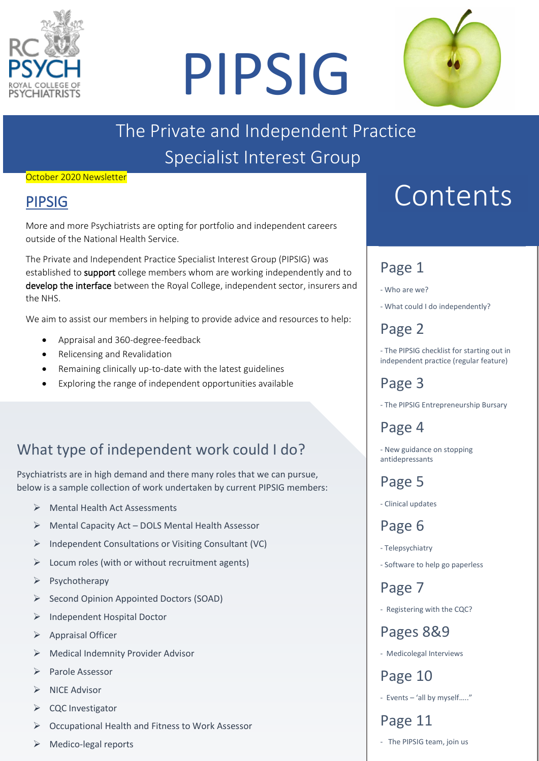

# PIPSIG



# The Private and Independent Practice Specialist Interest Group

#### October 2020 Newsletter

### PIPSIG

More and more Psychiatrists are opting for portfolio and independent careers outside of the National Health Service.

The Private and Independent Practice Specialist Interest Group (PIPSIG) was established to support college members whom are working independently and to develop the interface between the Royal College, independent sector, insurers and the NHS.

We aim to assist our members in helping to provide advice and resources to help:

- Appraisal and 360-degree-feedback
- Relicensing and Revalidation
- Remaining clinically up-to-date with the latest guidelines
- Exploring the range of independent opportunities available

# What type of independent work could I do?

Psychiatrists are in high demand and there many roles that we can pursue, below is a sample collection of work undertaken by current PIPSIG members:

- ➢ Mental Health Act Assessments
- ➢ Mental Capacity Act DOLS Mental Health Assessor
- ➢ Independent Consultations or Visiting Consultant (VC)
- $\triangleright$  Locum roles (with or without recruitment agents)
- ➢ Psychotherapy
- ➢ Second Opinion Appointed Doctors (SOAD)
- ➢ Independent Hospital Doctor
- ➢ Appraisal Officer
- ➢ Medical Indemnity Provider Advisor
- ➢ Parole Assessor
- ➢ NICE Advisor
- ➢ CQC Investigator
- ➢ Occupational Health and Fitness to Work Assessor
- ➢ Medico-legal reports

# Contents

# Page 1

- Who are we?
- What could I do independently?

# Page 2

- The PIPSIG checklist for starting out in independent practice (regular feature)

# Page 3

- The PIPSIG Entrepreneurship Bursary

Page 4

- New guidance on stopping antidepressants

Page 5

- Clinical updates

Page 6

- Telepsychiatry
- Software to help go paperless

Page 7

- Registering with the CQC?

Pages 8&9

- Medicolegal Interviews

Page 10

- Events – 'all by myself….."

### Page 11

- The PIPSIG team, join us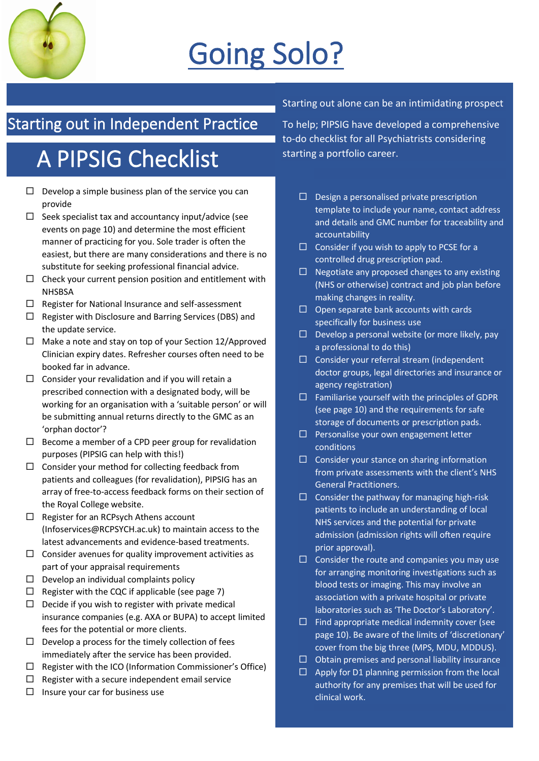

# Going Solo?

# Starting out in Independent Practice

# A PIPSIG Checklist

- $\Box$  Develop a simple business plan of the service you can provide
- $\Box$  Seek specialist tax and accountancy input/advice (see events on page 10) and determine the most efficient manner of practicing for you. Sole trader is often the easiest, but there are many considerations and there is no substitute for seeking professional financial advice.
- $\Box$  Check your current pension position and entitlement with **NHSBSA**
- $\Box$  Register for National Insurance and self-assessment
- $\Box$  Register with Disclosure and Barring Services (DBS) and the update service.
- $\Box$  Make a note and stay on top of your Section 12/Approved Clinician expiry dates. Refresher courses often need to be booked far in advance.
- $\Box$  Consider your revalidation and if you will retain a prescribed connection with a designated body, will be working for an organisation with a 'suitable person' or will be submitting annual returns directly to the GMC as an 'orphan doctor'?
- $\Box$  Become a member of a CPD peer group for revalidation purposes (PIPSIG can help with this!)
- $\square$  Consider your method for collecting feedback from patients and colleagues (for revalidation), PIPSIG has an array of free-to-access feedback forms on their section of the Royal College website.
- $\Box$  Register for an RCPsych Athens account [\(Infoservices@RCPSYCH.ac.uk\)](mailto:Infoservices@RCPSYCH.ac.uk) to maintain access to the latest advancements and evidence-based treatments.
- $\Box$  Consider avenues for quality improvement activities as part of your appraisal requirements
- $\square$  Develop an individual complaints policy
- $\Box$  Register with the CQC if applicable (see page 7)
- $\square$  Decide if you wish to register with private medical insurance companies (e.g. AXA or BUPA) to accept limited fees for the potential or more clients.
- $\Box$  Develop a process for the timely collection of fees immediately after the service has been provided.
- $\Box$  Register with the ICO (Information Commissioner's Office)
- $\Box$  Register with a secure independent email service
- $\Box$  Insure your car for business use

Starting out alone can be an intimidating prospect

To help; PIPSIG have developed a comprehensive to-do checklist for all Psychiatrists considering starting a portfolio career.

- $\square$  Design a personalised private prescription template to include your name, contact address and details and GMC number for traceability and accountability
- $\square$  Consider if you wish to apply to PCSE for a controlled drug prescription pad.
- $\Box$  Negotiate any proposed changes to any existing (NHS or otherwise) contract and job plan before making changes in reality.
- $\Box$  Open separate bank accounts with cards specifically for business use
- $\Box$  Develop a personal website (or more likely, pay a professional to do this)
- $\Box$  Consider your referral stream (independent doctor groups, legal directories and insurance or agency registration)
- $\square$  Familiarise yourself with the principles of GDPR (see page 10) and the requirements for safe storage of documents or prescription pads.
- $\Box$  Personalise your own engagement letter conditions
- $\square$  Consider your stance on sharing information from private assessments with the client's NHS General Practitioners.
- $\Box$  Consider the pathway for managing high-risk patients to include an understanding of local NHS services and the potential for private admission (admission rights will often require prior approval).
- $\Box$  Consider the route and companies you may use for arranging monitoring investigations such as blood tests or imaging. This may involve an association with a private hospital or private laboratories such as 'The Doctor's Laboratory'.
- $\Box$  Find appropriate medical indemnity cover (see page 10). Be aware of the limits of 'discretionary' cover from the big three (MPS, MDU, MDDUS).
- $\Box$  Obtain premises and personal liability insurance
- $\Box$  Apply for D1 planning permission from the local authority for any premises that will be used for clinical work.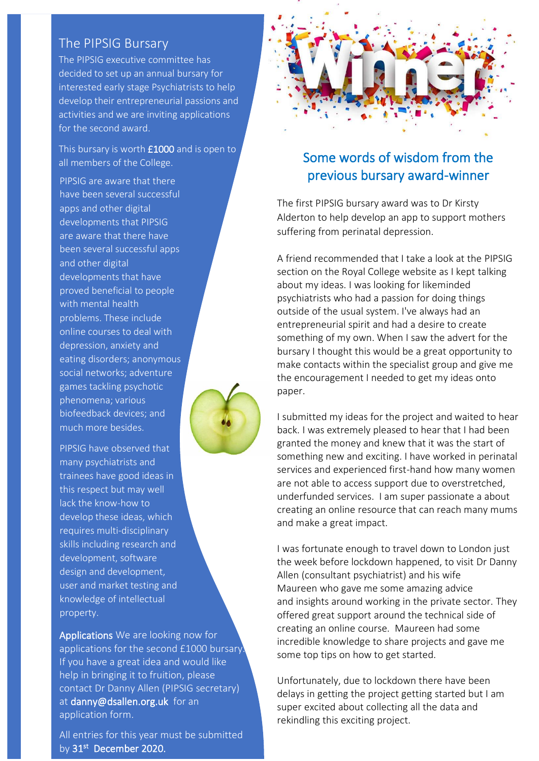#### The PIPSIG Bursary

The PIPSIG executive committee has decided to set up an annual bursary for interested early stage Psychiatrists to help develop their entrepreneurial passions and activities and we are inviting applications for the second award.

This bursary is worth £1000 and is open to all members of the College.

PIPSIG are aware that there have been several successful apps and other digital developments that PIPSIG are aware that there have been several successful apps and other digital developments that have proved beneficial to people with mental health problems. These include online courses to deal with depression, anxiety and eating disorders; anonymous social networks; adventure games tackling psychotic phenomena; various biofeedback devices; and much more besides.

PIPSIG have observed that many psychiatrists and trainees have good ideas in this respect but may well lack the know-how to develop these ideas, which requires multi-disciplinary skills including research and development, software design and development, user and market testing and knowledge of intellectual property.

Applications We are looking now for applications for the second £1000 bursary. If you have a great idea and would like help in bringing it to fruition, please contact Dr Danny Allen (PIPSIG secretary) at [danny@dsallen.org.uk](mailto:danny@dsallen.org.uk) for an application form.

All entries for this year must be submitted by 31<sup>st</sup> December 2020.



# previous bursary award-winner

 The first PIPSIG bursary award was to Dr Kirsty suffering from perinatal depression. Alderton to help develop an app to support mothers

A mend recommended that reale a look at the r in SR psychiatrists who had a passion for doing things entrepreneurial spirit and had a desire to create<br>something of my own. When I saw the advert for the make contacts within the specialist group and give me A friend recommended that I take a look at the PIPSIG about my ideas. I was looking for likeminded outside of the usual system. I've always had an entrepreneurial spirit and had a desire to create bursary I thought this would be a great opportunity to the encouragement I needed to get my ideas onto paper.

I submitted my ideas for the project and waited to hea<br>back. I was extremely pleased to hear that I had been granted the money and miew that it was the start of are not able to access support due to overstretched, creating an online resource that can reach many mums<br>and make a great impact. I submitted my ideas for the project and waited to hear granted the money and knew that it was the start of services and experienced first-hand how many women underfunded services. I am super passionate a about and make a great impact.

 I was fortunate enough to travel down to London just Allen (consultant psychiatrist) and his wife<br>Maurean who gave me some amazing advi and insignts around working in the private sector.<br>offered great support around the technical side of incredible knowledge to share projects and gave me the week before lockdown happened, to visit Dr Danny Maureen who gave me some amazing advice and insights around working in the private sector. They creating an online course. Maureen had some some top tips on how to get started.

 Unfortunately, due to lockdown there have been super excited about collecting all the data and delays in getting the project getting started but I am rekindling this exciting project.

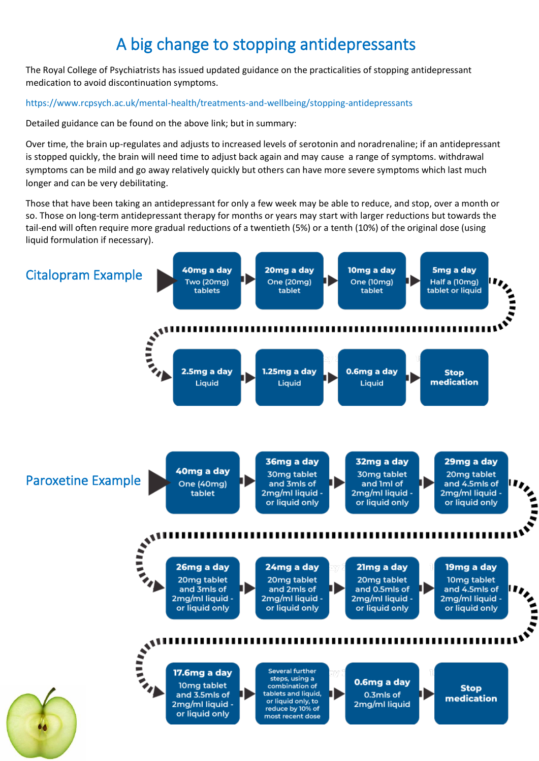# A big change to stopping antidepressants

The Royal College of Psychiatrists has issued updated guidance on the practicalities of stopping antidepressant medication to avoid discontinuation symptoms.

#### <https://www.rcpsych.ac.uk/mental-health/treatments-and-wellbeing/stopping-antidepressants>

Detailed guidance can be found on the above link; but in summary:

Over time, the brain up-regulates and adjusts to increased levels of serotonin and noradrenaline; if an antidepressant is stopped quickly, the brain will need time to adjust back again and may cause a range of symptoms. withdrawal symptoms can be mild and go away relatively quickly but others can have more severe symptoms which last much longer and can be very debilitating.

Those that have been taking an antidepressant for only a few week may be able to reduce, and stop, over a month or so. Those on long-term antidepressant therapy for months or years may start with larger reductions but towards the tail-end will often require more gradual reductions of a twentieth (5%) or a tenth (10%) of the original dose (using liquid formulation if necessary).

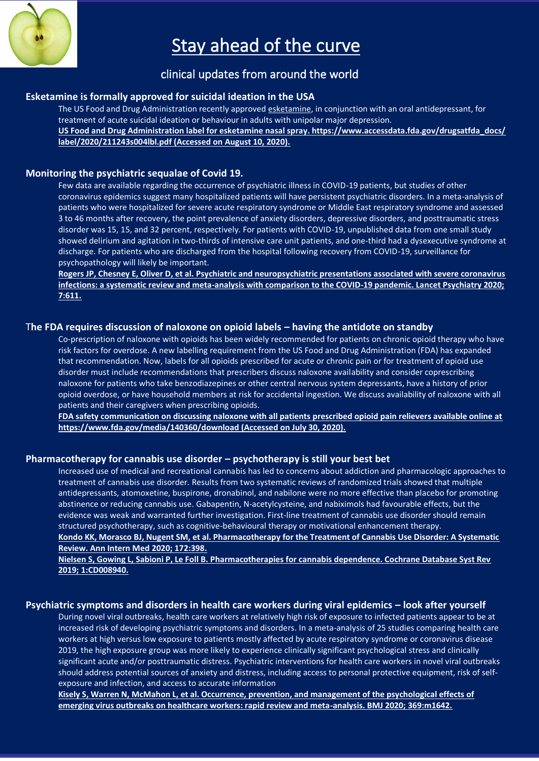

# Stay ahead of the curve

#### clinical updates from around the world

#### **Esketamine is formally approved for suicidal ideation in the USA**

The US Food and Drug Administration recently approved [esketamine,](https://www.uptodate.com/contents/esketamine-intranasal-drug-information?topicRef=83935&source=see_link) in conjunction with an oral antidepressant, for treatment of acute suicidal ideation or behaviour in adults with unipolar major depression. **US Food and Drug Administration label for esketamine nasal spray. https://www.accessdata.fda.gov/drugsatfda\_docs/ label/2020/211243s004lbl.pdf (Accessed on August 10, 2020).**

#### **Monitoring the psychiatric sequalae of Covid 19.**

Few data are available regarding the occurrence of psychiatric illness in COVID-19 patients, but studies of other coronavirus epidemics suggest many hospitalized patients will have persistent psychiatric disorders. In a meta-analysis of patients who were hospitalized for severe acute respiratory syndrome or Middle East respiratory syndrome and assessed 3 to 46 months after recovery, the point prevalence of anxiety disorders, depressive disorders, and posttraumatic stress disorder was 15, 15, and 32 percent, respectively. For patients with COVID-19, unpublished data from one small study showed delirium and agitation in two-thirds of intensive care unit patients, and one-third had a dysexecutive syndrome at discharge. For patients who are discharged from the hospital following recovery from COVID-19, surveillance for psychopathology will likely be important.

**[Rogers JP, Chesney E, Oliver D, et al. Psychiatric and neuropsychiatric presentations associated with severe coronavirus](https://www.uptodate.com/contents/whats-new-in-psychiatry/abstract/4)  [infections: a systematic review and meta-analysis with comparison to the COVID-19 pandemic. Lancet Psychiatry 2020;](https://www.uptodate.com/contents/whats-new-in-psychiatry/abstract/4)  [7:611.](https://www.uptodate.com/contents/whats-new-in-psychiatry/abstract/4)**

#### T**he FDA requires discussion of naloxone on opioid labels – having the antidote on standby**

Co-prescription of [naloxone](https://www.uptodate.com/contents/naloxone-drug-information?topicRef=83935&source=see_link) with opioids has been widely recommended for patients on chronic opioid therapy who have risk factors for overdose. A new labelling requirement from the US Food and Drug Administration (FDA) has expanded that recommendation. Now, labels for all opioids prescribed for acute or chronic pain or for treatment of opioid use disorder must include recommendations that prescribers discuss naloxone availability and consider coprescribing naloxone for patients who take benzodiazepines or other central nervous system depressants, have a history of prior opioid overdose, or have household members at risk for accidental ingestion. We discuss availability of naloxone with all patients and their caregivers when prescribing opioids.

**FDA safety communication on discussing naloxone with all patients prescribed opioid pain relievers available online at https://www.fda.gov/media/140360/download (Accessed on July 30, 2020).**

#### **Pharmacotherapy for cannabis use disorder – psychotherapy is still your best bet**

Increased use of medical and recreational cannabis has led to concerns about addiction and pharmacologic approaches to treatment of cannabis use disorder. Results from two systematic reviews of randomized trials showed that multiple antidepressants, [atomoxetine,](https://www.uptodate.com/contents/atomoxetine-drug-information?topicRef=83935&source=see_link) [buspirone,](https://www.uptodate.com/contents/buspirone-drug-information?topicRef=83935&source=see_link) [dronabinol,](https://www.uptodate.com/contents/dronabinol-drug-information?topicRef=83935&source=see_link) and [nabilone](https://www.uptodate.com/contents/nabilone-drug-information?topicRef=83935&source=see_link) were no more effective than placebo for promoting abstinence or reducing cannabis use. [Gabapentin,](https://www.uptodate.com/contents/gabapentin-drug-information?topicRef=83935&source=see_link) N-acetylcysteine, and [nabiximols](https://www.uptodate.com/contents/nabiximols-united-states-not-available-drug-information?topicRef=83935&source=see_link) had favourable effects, but the evidence was weak and warranted further investigation. First-line treatment of cannabis use disorder should remain structured psychotherapy, such as cognitive-behavioural therapy or motivational enhancement therapy.

#### **[Kondo KK, Morasco BJ, Nugent SM, et al. Pharmacotherapy for the Treatment of Cannabis Use Disorder: A Systematic](https://www.uptodate.com/contents/whats-new-in-psychiatry/abstract/10)  [Review. Ann Intern Med 2020; 172:398.](https://www.uptodate.com/contents/whats-new-in-psychiatry/abstract/10)**

**[Nielsen S, Gowing L, Sabioni P, Le Foll B. Pharmacotherapies for cannabis dependence. Cochrane Database Syst Rev](https://www.uptodate.com/contents/whats-new-in-psychiatry/abstract/11)  [2019; 1:CD008940.](https://www.uptodate.com/contents/whats-new-in-psychiatry/abstract/11)**

#### **Psychiatric symptoms and disorders in health care workers during viral epidemics – look after yourself**

During novel viral outbreaks, health care workers at relatively high risk of exposure to infected patients appear to be at increased risk of developing psychiatric symptoms and disorders. In a meta-analysis of 25 studies comparing health care workers at high versus low exposure to patients mostly affected by acute respiratory syndrome or coronavirus disease 2019, the high exposure group was more likely to experience clinically significant psychological stress and clinically significant acute and/or posttraumatic distress. Psychiatric interventions for health care workers in novel viral outbreaks should address potential sources of anxiety and distress, including access to personal protective equipment, risk of selfexposure and infection, and access to accurate information

**Kisely [S, Warren N, McMahon L, et al. Occurrence, prevention, and management of the psychological effects of](https://www.uptodate.com/contents/whats-new-in-psychiatry/abstract/17)  [emerging virus outbreaks on healthcare workers: rapid review and meta-analysis. BMJ 2020; 369:m1642.](https://www.uptodate.com/contents/whats-new-in-psychiatry/abstract/17)**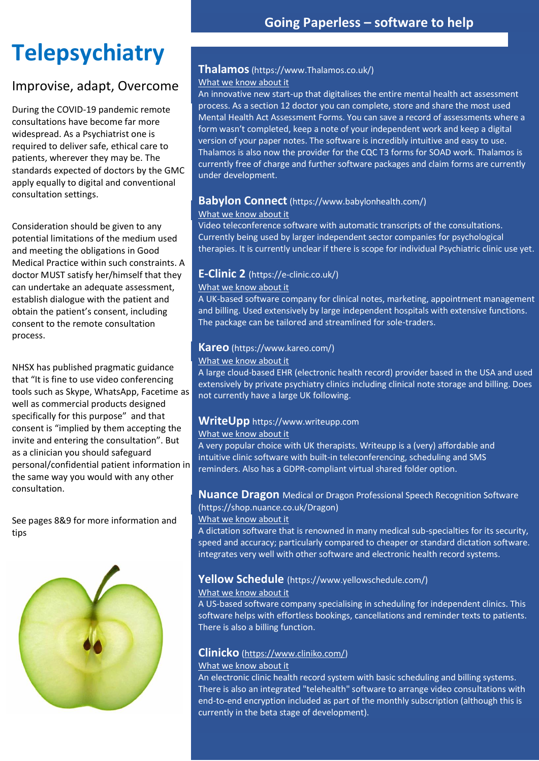# **Telepsychiatry**

### Improvise, adapt, Overcome

During the COVID-19 pandemic remote consultations have become far more widespread. As a Psychiatrist one is required to deliver safe, ethical care to patients, wherever they may be. The standards expected of doctors by the GMC apply equally to digital and conventional consultation settings.

Consideration should be given to any potential limitations of the medium used and meeting the obligations in Good Medical Practice within such constraints. A doctor MUST satisfy her/himself that they can undertake an adequate assessment, establish dialogue with the patient and obtain the patient's consent, including consent to the remote consultation process.

NHSX has published pragmatic guidance that "It is fine to use video conferencing tools such as Skype, WhatsApp, Facetime as well as commercial products designed specifically for this purpose" and that consent is "implied by them accepting the invite and entering the consultation". But as a clinician you should safeguard personal/confidential patient information in the same way you would with any other consultation.

See pages 8&9 for more information and tips



#### **Thalamos**(https://www.Thalamos.co.uk/)

#### What we know about it

An innovative new start-up that digitalises the entire mental health act assessment process. As a section 12 doctor you can complete, store and share the most used Mental Health Act Assessment Forms. You can save a record of assessments where a form wasn't completed, keep a note of your independent work and keep a digital version of your paper notes. The software is incredibly intuitive and easy to use. Thalamos is also now the provider for the CQC T3 forms for SOAD work. Thalamos is currently free of charge and further software packages and claim forms are currently under development.

#### **Babylon Connect** (https://www.babylonhealth.com/)

#### What we know about it

Video teleconference software with automatic transcripts of the consultations. Currently being used by larger independent sector companies for psychological therapies. It is currently unclear if there is scope for individual Psychiatric clinic use yet.

#### **E-Clinic 2** (https://e-clinic.co.uk/)

#### What we know about it

A UK-based software company for clinical notes, marketing, appointment management and billing. Used extensively by large independent hospitals with extensive functions. The package can be tailored and streamlined for sole-traders.

#### **Kareo** (https://www.kareo.com/)

What we know about it

A large cloud-based EHR (electronic health record) provider based in the USA and used extensively by private psychiatry clinics including clinical note storage and billing. Does not currently have a large UK following.

#### **WriteUpp** https://www.writeupp.com

#### What we know about it

A very popular choice with UK therapists. Writeupp is a (very) affordable and intuitive clinic software with built-in teleconferencing, scheduling and SMS reminders. Also has a GDPR-compliant virtual shared folder option.

#### **Nuance Dragon** Medical or Dragon Professional Speech Recognition Software

(https://shop.nuance.co.uk/Dragon)

#### What we know about it

A dictation software that is renowned in many medical sub-specialties for its security, speed and accuracy; particularly compared to cheaper or standard dictation software. integrates very well with other software and electronic health record systems.

#### **Yellow Schedule** (https://www.yellowschedule.com/)

#### What we know about it

A US-based software company specialising in scheduling for independent clinics. This software helps with effortless bookings, cancellations and reminder texts to patients. There is also a billing function.

#### **Clinicko** [\(https://www.cliniko.com/\)](https://www.cliniko.com/)

#### What we know about it

An electronic clinic health record system with basic scheduling and billing systems. There is also an integrated "telehealth" software to arrange video consultations with end-to-end encryption included as part of the monthly subscription (although this is currently in the beta stage of development).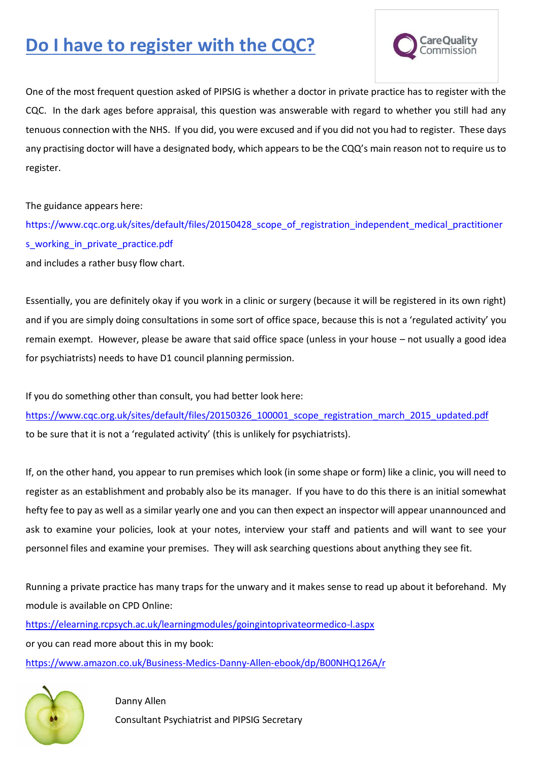# **Do I have to register with the CQC?**



One of the most frequent question asked of PIPSIG is whether a doctor in private practice has to register with the CQC. In the dark ages before appraisal, this question was answerable with regard to whether you still had any tenuous connection with the NHS. If you did, you were excused and if you did not you had to register. These days any practising doctor will have a designated body, which appears to be the CQQ's main reason not to require us to register.

The guidance appears here:

[https://www.cqc.org.uk/sites/default/files/20150428\\_scope\\_of\\_registration\\_independent\\_medical\\_practitioner](https://www.cqc.org.uk/sites/default/files/20150428_scope_of_registration_independent_medical_practitioners_working_in_private_practice.pdf) [s\\_working\\_in\\_private\\_practice.pdf](https://www.cqc.org.uk/sites/default/files/20150428_scope_of_registration_independent_medical_practitioners_working_in_private_practice.pdf) and includes a rather busy flow chart.

Essentially, you are definitely okay if you work in a clinic or surgery (because it will be registered in its own right) and if you are simply doing consultations in some sort of office space, because this is not a 'regulated activity' you remain exempt. However, please be aware that said office space (unless in your house – not usually a good idea for psychiatrists) needs to have D1 council planning permission.

If you do something other than consult, you had better look here:

[https://www.cqc.org.uk/sites/default/files/20150326\\_100001\\_scope\\_registration\\_march\\_2015\\_updated.pdf](https://www.cqc.org.uk/sites/default/files/20150326_100001_scope_registration_march_2015_updated.pdf) to be sure that it is not a 'regulated activity' (this is unlikely for psychiatrists).

If, on the other hand, you appear to run premises which look (in some shape or form) like a clinic, you will need to register as an establishment and probably also be its manager. If you have to do this there is an initial somewhat hefty fee to pay as well as a similar yearly one and you can then expect an inspector will appear unannounced and ask to examine your policies, look at your notes, interview your staff and patients and will want to see your personnel files and examine your premises. They will ask searching questions about anything they see fit.

Running a private practice has many traps for the unwary and it makes sense to read up about it beforehand. My module is available on CPD Online:

<https://elearning.rcpsych.ac.uk/learningmodules/goingintoprivateormedico-l.aspx> or you can read more about this in my book: <https://www.amazon.co.uk/Business-Medics-Danny-Allen-ebook/dp/B00NHQ126A/r>



 Danny Allen Consultant Psychiatrist and PIPSIG Secretary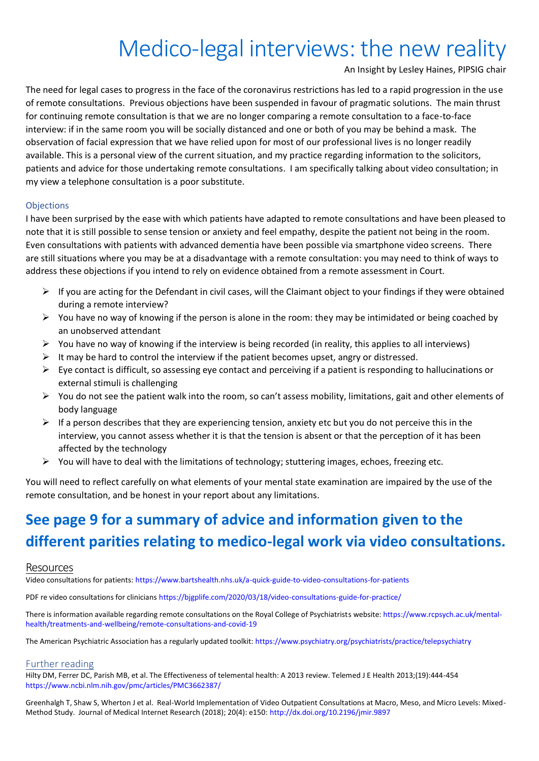# Medico-legal interviews: the new reality

An Insight by Lesley Haines, PIPSIG chair

The need for legal cases to progress in the face of the coronavirus restrictions has led to a rapid progression in the use of remote consultations. Previous objections have been suspended in favour of pragmatic solutions. The main thrust for continuing remote consultation is that we are no longer comparing a remote consultation to a face-to-face interview: if in the same room you will be socially distanced and one or both of you may be behind a mask. The observation of facial expression that we have relied upon for most of our professional lives is no longer readily available. This is a personal view of the current situation, and my practice regarding information to the solicitors, patients and advice for those undertaking remote consultations. I am specifically talking about video consultation; in my view a telephone consultation is a poor substitute.

#### **Objections**

I have been surprised by the ease with which patients have adapted to remote consultations and have been pleased to note that it is still possible to sense tension or anxiety and feel empathy, despite the patient not being in the room. Even consultations with patients with advanced dementia have been possible via smartphone video screens. There are still situations where you may be at a disadvantage with a remote consultation: you may need to think of ways to address these objections if you intend to rely on evidence obtained from a remote assessment in Court.

- $\triangleright$  If you are acting for the Defendant in civil cases, will the Claimant object to your findings if they were obtained during a remote interview?
- $\triangleright$  You have no way of knowing if the person is alone in the room: they may be intimidated or being coached by an unobserved attendant
- $\triangleright$  You have no way of knowing if the interview is being recorded (in reality, this applies to all interviews)
- $\triangleright$  It may be hard to control the interview if the patient becomes upset, angry or distressed.
- $\triangleright$  Eye contact is difficult, so assessing eye contact and perceiving if a patient is responding to hallucinations or external stimuli is challenging
- ➢ You do not see the patient walk into the room, so can't assess mobility, limitations, gait and other elements of body language
- $\triangleright$  If a person describes that they are experiencing tension, anxiety etc but you do not perceive this in the interview, you cannot assess whether it is that the tension is absent or that the perception of it has been affected by the technology
- $\triangleright$  You will have to deal with the limitations of technology; stuttering images, echoes, freezing etc.

You will need to reflect carefully on what elements of your mental state examination are impaired by the use of the remote consultation, and be honest in your report about any limitations.

# **See page 9 for a summary of advice and information given to the different parities relating to medico-legal work via video consultations.**

#### Resources

Video consultations for patients: <https://www.bartshealth.nhs.uk/a-quick-guide-to-video-consultations-for-patients>

PDF re video consultations for clinicians <https://bjgplife.com/2020/03/18/video-consultations-guide-for-practice/>

There is information available regarding remote consultations on the Royal College of Psychiatrists website[: https://www.rcpsych.ac.uk/mental](https://www.rcpsych.ac.uk/mental-health/treatments-and-wellbeing/remote-consultations-and-covid-19)[health/treatments-and-wellbeing/remote-consultations-and-covid-19](https://www.rcpsych.ac.uk/mental-health/treatments-and-wellbeing/remote-consultations-and-covid-19)

The American Psychiatric Association has a regularly updated toolkit:<https://www.psychiatry.org/psychiatrists/practice/telepsychiatry>

#### Further reading

Hilty DM, Ferrer DC, Parish MB, et al. The Effectiveness of telemental health: A 2013 review. Telemed J E Health 2013;(19):444-454 <https://www.ncbi.nlm.nih.gov/pmc/articles/PMC3662387/>

Greenhalgh T, Shaw S, Wherton J et al. Real-World Implementation of Video Outpatient Consultations at Macro, Meso, and Micro Levels: Mixed-Method Study. Journal of Medical Internet Research (2018); 20(4): e150[: http://dx.doi.org/10.2196/jmir.9897](http://dx.doi.org/10.2196/jmir.9897)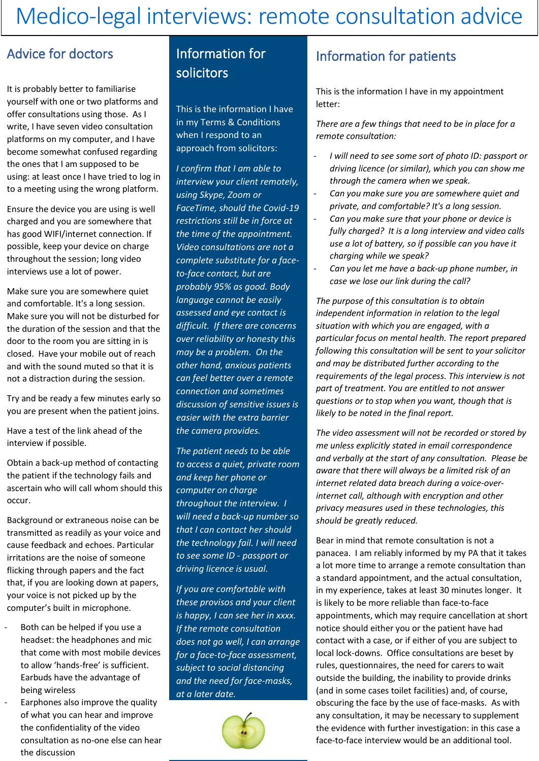# Medico-legal interviews: remote consultation advice

### Advice for doctors

It is probably better to familiarise yourself with one or two platforms and offer consultations using those. As I write, I have seven video consultation platforms on my computer, and I have become somewhat confused regarding the ones that I am supposed to be using: at least once I have tried to log in to a meeting using the wrong platform.

Ensure the device you are using is well charged and you are somewhere that has good WIFI/internet connection. If possible, keep your device on charge throughout the session; long video interviews use a lot of power.

Make sure you are somewhere quiet and comfortable. It's a long session. Make sure you will not be disturbed for the duration of the session and that the door to the room you are sitting in is closed. Have your mobile out of reach and with the sound muted so that it is not a distraction during the session.

Try and be ready a few minutes early so you are present when the patient joins.

Have a test of the link ahead of the interview if possible.

Obtain a back-up method of contacting the patient if the technology fails and ascertain who will call whom should this occur.

Background or extraneous noise can be transmitted as readily as your voice and cause feedback and echoes. Particular irritations are the noise of someone flicking through papers and the fact that, if you are looking down at papers, your voice is not picked up by the computer's built in microphone.

- Both can be helped if you use a headset: the headphones and mic that come with most mobile devices to allow 'hands-free' is sufficient. Earbuds have the advantage of being wireless
- Earphones also improve the quality of what you can hear and improve the confidentiality of the video consultation as no-one else can hear the discussion

### Information for solicitors

This is the information I have in my Terms & Conditions when I respond to an approach from solicitors:

*I confirm that I am able to interview your client remotely, using Skype, Zoom or FaceTime, should the Covid-19 restrictions still be in force at the time of the appointment. Video consultations are not a complete substitute for a faceto-face contact, but are probably 95% as good. Body language cannot be easily assessed and eye contact is difficult. If there are concerns over reliability or honesty this may be a problem. On the other hand, anxious patients can feel better over a remote connection and sometimes discussion of sensitive issues is easier with the extra barrier the camera provides.*

*The patient needs to be able to access a quiet, private room and keep her phone or computer on charge throughout the interview. I will need a back-up number so that I can contact her should the technology fail. I will need to see some ID - passport or driving licence is usual.*

*If you are comfortable with these provisos and your client is happy, I can see her in xxxx. If the remote consultation does not go well, I can arrange for a face-to-face assessment, subject to social distancing and the need for face-masks, at a later date.*



### Information for patients

This is the information I have in my appointment letter:

*There are a few things that need to be in place for a remote consultation:*

- *I* will need to see some sort of photo ID: passport or *driving licence (or similar), which you can show me through the camera when we speak.*
- *Can you make sure you are somewhere quiet and private, and comfortable? It's a long session.*
- *Can you make sure that your phone or device is fully charged? It is a long interview and video calls use a lot of battery, so if possible can you have it charging while we speak?*
- Can you let me have a back-up phone number, in *case we lose our link during the call?*

*The purpose of this consultation is to obtain independent information in relation to the legal situation with which you are engaged, with a particular focus on mental health. The report prepared following this consultation will be sent to your solicitor and may be distributed further according to the requirements of the legal process. This interview is not part of treatment. You are entitled to not answer questions or to stop when you want, though that is likely to be noted in the final report.*

*The video assessment will not be recorded or stored by me unless explicitly stated in email correspondence and verbally at the start of any consultation. Please be aware that there will always be a limited risk of an internet related data breach during a voice-overinternet call, although with encryption and other privacy measures used in these technologies, this should be greatly reduced.*

Bear in mind that remote consultation is not a panacea. I am reliably informed by my PA that it takes a lot more time to arrange a remote consultation than a standard appointment, and the actual consultation, in my experience, takes at least 30 minutes longer. It is likely to be more reliable than face-to-face appointments, which may require cancellation at short notice should either you or the patient have had contact with a case, or if either of you are subject to local lock-downs. Office consultations are beset by rules, questionnaires, the need for carers to wait outside the building, the inability to provide drinks (and in some cases toilet facilities) and, of course, obscuring the face by the use of face-masks. As with any consultation, it may be necessary to supplement the evidence with further investigation: in this case a face-to-face interview would be an additional tool.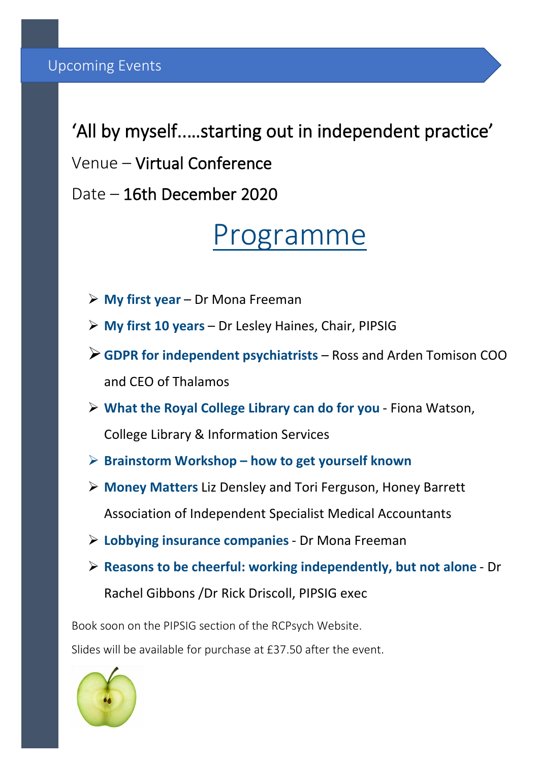'All by myself..…starting out in independent practice' Venue – Virtual Conference Date – 16th December 2020

# Programme

- ➢ **My first year** Dr Mona Freeman
- ➢ **My first 10 years**  Dr Lesley Haines, Chair, PIPSIG
- ➢**GDPR for independent psychiatrists** Ross and Arden Tomison COO and CEO of Thalamos
- ➢ **What the Royal College Library can do for you** Fiona Watson, College Library & Information Services
- ➢ **Brainstorm Workshop – how to get yourself known**
- ➢ **Money Matters** Liz Densley and Tori Ferguson, Honey Barrett Association of Independent Specialist Medical Accountants
- ➢ **Lobbying insurance companies** Dr Mona Freeman
- ➢ **Reasons to be cheerful: working independently, but not alone** Dr

Rachel Gibbons /Dr Rick Driscoll, PIPSIG exec

Book soon on the PIPSIG section of the RCPsych Website.

Slides will be available for purchase at £37.50 after the event.